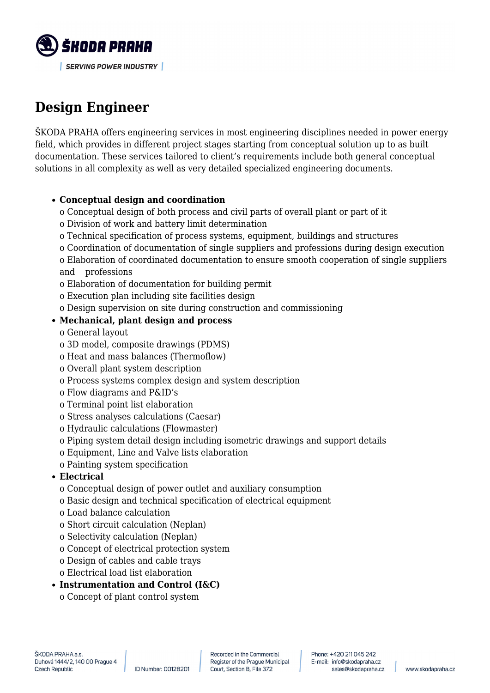

# **Design Engineer**

ŠKODA PRAHA offers engineering services in most engineering disciplines needed in power energy field, which provides in different project stages starting from conceptual solution up to as built documentation. These services tailored to client's requirements include both general conceptual solutions in all complexity as well as very detailed specialized engineering documents.

#### **Conceptual design and coordination**

- o Conceptual design of both process and civil parts of overall plant or part of it
- o Division of work and battery limit determination
- o Technical specification of process systems, equipment, buildings and structures
- o Coordination of documentation of single suppliers and professions during design execution
- o Elaboration of coordinated documentation to ensure smooth cooperation of single suppliers and professions
- o Elaboration of documentation for building permit
- o Execution plan including site facilities design
- o Design supervision on site during construction and commissioning

## **Mechanical, plant design and process**

- o General layout
- o 3D model, composite drawings (PDMS)
- o Heat and mass balances (Thermoflow)
- o Overall plant system description
- o Process systems complex design and system description
- o Flow diagrams and P&ID's
- o Terminal point list elaboration
- o Stress analyses calculations (Caesar)
- o Hydraulic calculations (Flowmaster)
- o Piping system detail design including isometric drawings and support details
- o Equipment, Line and Valve lists elaboration
- o Painting system specification

## **Electrical**

- o Conceptual design of power outlet and auxiliary consumption
- o Basic design and technical specification of electrical equipment
- o Load balance calculation
- o Short circuit calculation (Neplan)
- o Selectivity calculation (Neplan)
- o Concept of electrical protection system
- o Design of cables and cable trays
- o Electrical load list elaboration
- **Instrumentation and Control (I&C)** o Concept of plant control system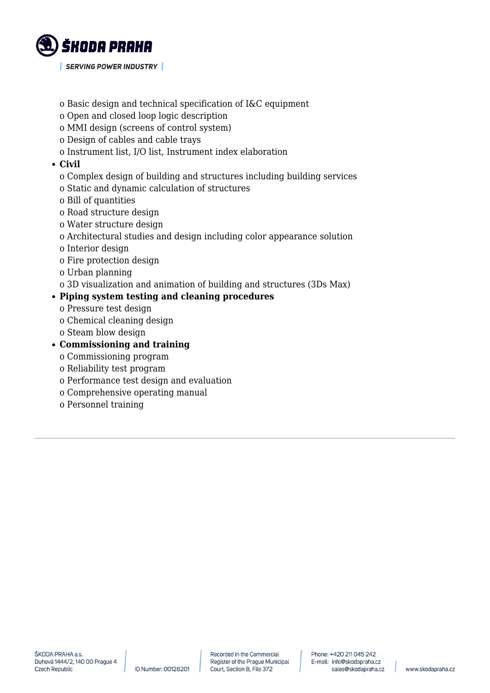

- o Basic design and technical specification of I&C equipment
- o Open and closed loop logic description
- o MMI design (screens of control system)
- o Design of cables and cable trays
- o Instrument list, I/O list, Instrument index elaboration

#### **Civil**

- o Complex design of building and structures including building services
- o Static and dynamic calculation of structures
- o Bill of quantities
- o Road structure design
- o Water structure design
- o Architectural studies and design including color appearance solution
- o Interior design
- o Fire protection design
- o Urban planning
- o 3D visualization and animation of building and structures (3Ds Max)

#### **Piping system testing and cleaning procedures**

- o Pressure test design
- o Chemical cleaning design
- o Steam blow design

#### **Commissioning and training**

- o Commissioning program
- o Reliability test program
- o Performance test design and evaluation
- o Comprehensive operating manual
- o Personnel training